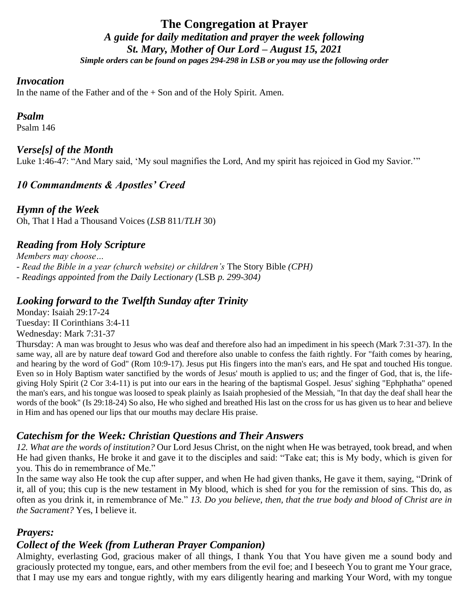# **The Congregation at Prayer** *A guide for daily meditation and prayer the week following St. Mary, Mother of Our Lord – August 15, 2021 Simple orders can be found on pages 294-298 in LSB or you may use the following order*

#### *Invocation*

In the name of the Father and of the  $+$  Son and of the Holy Spirit. Amen.

#### *Psalm*

Psalm 146

#### *Verse[s] of the Month*

Luke 1:46-47: "And Mary said, 'My soul magnifies the Lord, And my spirit has rejoiced in God my Savior.'"

# *10 Commandments & Apostles' Creed*

*Hymn of the Week* Oh, That I Had a Thousand Voices (*LSB* 811/*TLH* 30)

# *Reading from Holy Scripture*

*Members may choose… - Read the Bible in a year (church website) or children's* The Story Bible *(CPH) - Readings appointed from the Daily Lectionary (*LSB *p. 299-304)*

### *Looking forward to the Twelfth Sunday after Trinity*

Monday: Isaiah 29:17-24 Tuesday: II Corinthians 3:4-11 Wednesday: Mark 7:31-37

Thursday: A man was brought to Jesus who was deaf and therefore also had an impediment in his speech (Mark 7:31-37). In the same way, all are by nature deaf toward God and therefore also unable to confess the faith rightly. For "faith comes by hearing, and hearing by the word of God" (Rom 10:9-17). Jesus put His fingers into the man's ears, and He spat and touched His tongue. Even so in Holy Baptism water sanctified by the words of Jesus' mouth is applied to us; and the finger of God, that is, the lifegiving Holy Spirit (2 Cor 3:4-11) is put into our ears in the hearing of the baptismal Gospel. Jesus' sighing "Ephphatha" opened the man's ears, and his tongue was loosed to speak plainly as Isaiah prophesied of the Messiah, "In that day the deaf shall hear the words of the book" (Is 29:18-24) So also, He who sighed and breathed His last on the cross for us has given us to hear and believe in Him and has opened our lips that our mouths may declare His praise.

## *Catechism for the Week: Christian Questions and Their Answers*

*12. What are the words of institution?* Our Lord Jesus Christ, on the night when He was betrayed, took bread, and when He had given thanks, He broke it and gave it to the disciples and said: "Take eat; this is My body, which is given for you. This do in remembrance of Me."

In the same way also He took the cup after supper, and when He had given thanks, He gave it them, saying, "Drink of it, all of you; this cup is the new testament in My blood, which is shed for you for the remission of sins. This do, as often as you drink it, in remembrance of Me." *13. Do you believe, then, that the true body and blood of Christ are in the Sacrament?* Yes, I believe it.

## *Prayers:*

## *Collect of the Week (from Lutheran Prayer Companion)*

Almighty, everlasting God, gracious maker of all things, I thank You that You have given me a sound body and graciously protected my tongue, ears, and other members from the evil foe; and I beseech You to grant me Your grace, that I may use my ears and tongue rightly, with my ears diligently hearing and marking Your Word, with my tongue